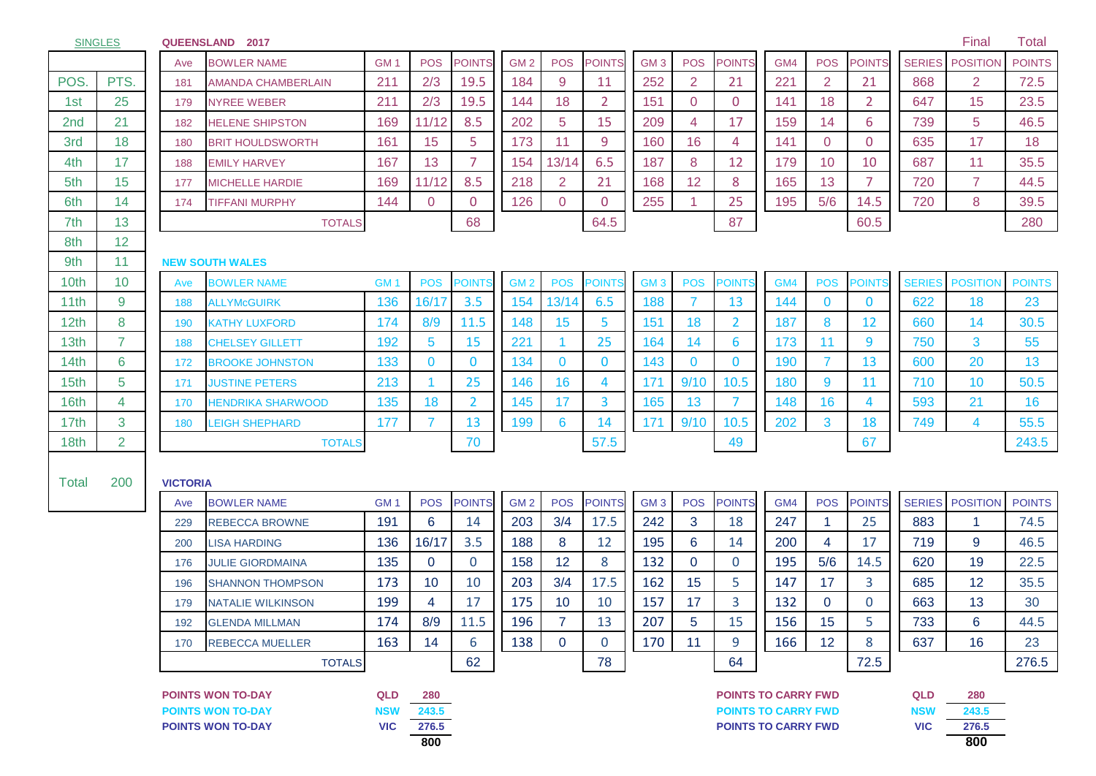| <b>SINGLES</b>   |                |                 | QUEENSLAND 2017                                      |                   |                |                |                 |                |                |                 |                |                                                          |     |                |                |                          | Final           | <b>Total</b>  |
|------------------|----------------|-----------------|------------------------------------------------------|-------------------|----------------|----------------|-----------------|----------------|----------------|-----------------|----------------|----------------------------------------------------------|-----|----------------|----------------|--------------------------|-----------------|---------------|
|                  |                | Ave             | <b>BOWLER NAME</b>                                   | GM <sub>1</sub>   | <b>POS</b>     | <b>POINTS</b>  | GM <sub>2</sub> | <b>POS</b>     | <b>POINTS</b>  | GM <sub>3</sub> | <b>POS</b>     | <b>POINTS</b>                                            | GM4 | <b>POS</b>     | <b>POINTS</b>  | <b>SERIES</b>            | <b>POSITION</b> | <b>POINTS</b> |
| POS.             | PTS.           | 181             | <b>AMANDA CHAMBERLAIN</b>                            | 211               | 2/3            | 19.5           | 184             | 9              | 11             | 252             | $\overline{2}$ | 21                                                       | 221 | $\overline{2}$ | 21             | 868                      | $\overline{2}$  | 72.5          |
| 1st              | 25             | 179             | <b>NYREE WEBER</b>                                   | 211               | 2/3            | 19.5           | 144             | 18             | $\overline{2}$ | 151             | $\overline{0}$ | $\mathbf{0}$                                             | 141 | 18             | 2              | 647                      | 15              | 23.5          |
| 2 <sub>nd</sub>  | 21             | 182             | <b>HELENE SHIPSTON</b>                               | 169               | 11/12          | 8.5            | 202             | 5              | 15             | 209             | 4              | 17                                                       | 159 | 14             | 6              | 739                      | 5               | 46.5          |
| 3rd              | 18             | 180             | <b>BRIT HOULDSWORTH</b>                              | 161               | 15             | 5              | 173             | 11             | 9              | 160             | 16             | 4                                                        | 141 | $\overline{0}$ | $\overline{0}$ | 635                      | 17              | 18            |
| 4th              | 17             | 188             | <b>EMILY HARVEY</b>                                  | 167               | 13             | 7              | 154             | 13/14          | 6.5            | 187             | 8              | 12                                                       | 179 | 10             | 10             | 687                      | 11              | 35.5          |
| 5th              | 15             | 177             | <b>MICHELLE HARDIE</b>                               | 169               | 11/12          | 8.5            | 218             | $\overline{2}$ | 21             | 168             | 12             | 8                                                        | 165 | 13             | $\overline{7}$ | 720                      | $\overline{7}$  | 44.5          |
| 6th              | 14             | 174             | <b>TIFFANI MURPHY</b>                                | 144               | $\overline{0}$ | $\Omega$       | 126             | $\Omega$       | 0              | 255             | -1             | 25                                                       | 195 | 5/6            | 14.5           | 720                      | 8               | 39.5          |
| 7th              | 13             |                 | <b>TOTALS</b>                                        |                   |                | 68             |                 |                | 64.5           |                 |                | 87                                                       |     |                | 60.5           |                          |                 | 280           |
| 8th              | 12             |                 |                                                      |                   |                |                |                 |                |                |                 |                |                                                          |     |                |                |                          |                 |               |
| 9th              | 11             |                 | <b>NEW SOUTH WALES</b>                               |                   |                |                |                 |                |                |                 |                |                                                          |     |                |                |                          |                 |               |
| 10th             | 10             | Ave             | <b>BOWLER NAME</b>                                   | GM <sub>1</sub>   | <b>POS</b>     | POINTS         | GM <sub>2</sub> | <b>POS</b>     | POINTS         | GM <sub>3</sub> | <b>POS</b>     | <b>POINTS</b>                                            | GM4 | <b>POS</b>     | <b>POINTS</b>  | <b>SERIES</b>            | <b>POSITION</b> | <b>POINTS</b> |
| 11th             | 9              | 188             | <b>ALLYMcGUIRK</b>                                   | 136               | 16/17          | 3.5            | 154             | 13/14          | 6.5            | 188             | 7              | 13                                                       | 144 | $\mathbf{0}$   | $\bf{0}$       | 622                      | 18              | 23            |
| 12th             | 8              | 190             | <b>KATHY LUXFORD</b>                                 | 174               | 8/9            | 11.5           | 148             | 15             | 5              | 151             | 18             | $\overline{2}$                                           | 187 | 8              | 12             | 660                      | 14              | 30.5          |
| 13 <sub>th</sub> | $\overline{7}$ | 188             | <b>CHELSEY GILLETT</b>                               | 192               | 5              | 15             | 221             |                | 25             | 164             | 14             | 6                                                        | 173 | 11             | 9              | 750                      | 3               | 55            |
| 14 <sub>th</sub> | 6              | 172             | <b>BROOKE JOHNSTON</b>                               | 133               | $\bf{0}$       | $\mathbf{0}$   | 134             | $\Omega$       | $\mathbf{0}$   | 143             | $\mathbf{0}$   | $\bf{0}$                                                 | 190 | 7              | 13             | 600                      | 20              | 13            |
| 15 <sub>th</sub> | 5              | 171             | <b>JUSTINE PETERS</b>                                | 213               | $\overline{1}$ | 25             | 146             | 16             | 4              | 171             | 9/10           | 10.5                                                     | 180 | 9              | 11             | 710                      | 10              | 50.5          |
| 16 <sub>th</sub> | 4              | 170             | <b>HENDRIKA SHARWOOD</b>                             | 135               | 18             | $\overline{2}$ | 145             | 17             | $\overline{3}$ | 165             | 13             | $\overline{7}$                                           | 148 | 16             | 4              | 593                      | 21              | 16            |
| 17 <sub>th</sub> | 3              | 180             | <b>LEIGH SHEPHARD</b>                                | 177               | $\overline{7}$ | 13             | 199             | 6              | 14             | 171             | 9/10           | 10.5                                                     | 202 | 3              | 18             | 749                      | 4               | 55.5          |
| 18th             | $\overline{2}$ |                 | <b>TOTALS</b>                                        |                   |                | 70             |                 |                | 57.5           |                 |                | 49                                                       |     |                | 67             |                          |                 | 243.5         |
|                  |                |                 |                                                      |                   |                |                |                 |                |                |                 |                |                                                          |     |                |                |                          |                 |               |
| Total            | 200            | <b>VICTORIA</b> |                                                      |                   |                |                |                 |                |                |                 |                |                                                          |     |                |                |                          |                 |               |
|                  |                | Ave             | <b>BOWLER NAME</b>                                   | GM <sub>1</sub>   | <b>POS</b>     | <b>POINTS</b>  | GM <sub>2</sub> | <b>POS</b>     | <b>POINTS</b>  | GM <sub>3</sub> | <b>POS</b>     | <b>POINTS</b>                                            | GM4 | <b>POS</b>     | <b>POINTS</b>  | <b>SERIES</b>            | <b>POSITION</b> | <b>POINTS</b> |
|                  |                | 229             | REBECCA BROWNE                                       | 191               | 6              | 14             | 203             | 3/4            | 17.5           | 242             | 3              | 18                                                       | 247 | -1             | 25             | 883                      | -1              | 74.5          |
|                  |                | 200             | LISA HARDING                                         | 136               | 16/17          | 3.5            | 188             | 8              | 12             | 195             | 6              | 14                                                       | 200 | 4              | 17             | 719                      | 9               | 46.5          |
|                  |                | 176             | <b>JULIE GIORDMAINA</b>                              | 135               | $\overline{0}$ | $\mathbf{0}$   | 158             | 12             | 8              | 132             | $\overline{0}$ | $\mathbf{0}$                                             | 195 | 5/6            | 14.5           | 620                      | 19              | 22.5          |
|                  |                | 196             | <b>SHANNON THOMPSON</b>                              | 173               | 10             | 10             | 203             | 3/4            | 17.5           | 162             | 15             | 5                                                        | 147 | 17             | 3              | 685                      | 12              | 35.5          |
|                  |                | 179             | <b>NATALIE WILKINSON</b>                             | 199               | 4              | 17             | 175             | 10             | 10             | 157             | 17             | 3                                                        | 132 | $\mathbf{0}$   | 0              | 663                      | 13              | 30            |
|                  |                | 192             | <b>GLENDA MILLMAN</b>                                | 174               | 8/9            | 11.5           | 196             |                | 13             | 207             | 5              | 15                                                       | 156 | 15             | Ь              | 733                      | 6               | 44.5          |
|                  |                | 170             | <b>REBECCA MUELLER</b>                               | 163               | 14             | 6              | 138             | $\overline{0}$ | $\overline{0}$ | 170             | 11             | 9                                                        | 166 | 12             | 8              | 637                      | 16              | 23            |
|                  |                |                 | <b>TOTALS</b>                                        |                   |                | 62             |                 |                | 78             |                 |                | 64                                                       |     |                | 72.5           |                          |                 | 276.5         |
|                  |                |                 |                                                      |                   |                |                |                 |                |                |                 |                |                                                          |     |                |                |                          |                 |               |
|                  |                |                 | <b>POINTS WON TO-DAY</b><br><b>POINTS WON TO-DAY</b> | QLD<br><b>NSW</b> | 280            |                |                 |                |                |                 |                | <b>POINTS TO CARRY FWD</b><br><b>POINTS TO CARRY FWD</b> |     |                |                | <b>QLD</b><br><b>NSW</b> | 280             |               |
|                  |                |                 | <b>POINTS WON TO-DAY</b>                             | <b>VIC</b>        | 243.5<br>276.5 |                |                 |                |                |                 |                | <b>POINTS TO CARRY FWD</b>                               |     |                |                | <b>VIC</b>               | 243.5<br>276.5  |               |

**800 800**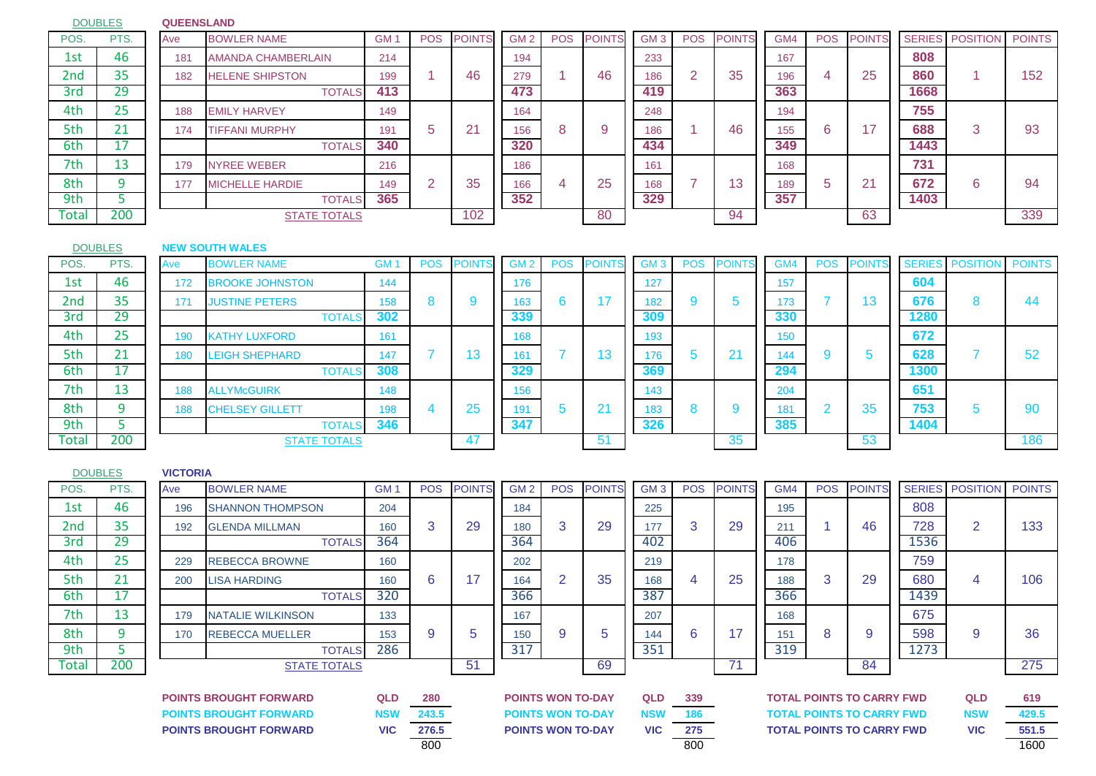DOUBLES

**DOUBLES** 

## **QUEENSLAND**

| POS.            | PTS. | Ave | <b>BOWLER NAME</b>     | <b>GM</b> | <b>POS</b> | <b>POINTS</b> | GM <sub>2</sub> | <b>POS</b> | <b>POINTS</b> | GM <sub>3</sub> | <b>POS</b> | <b>POINTS</b> | GM4 | <b>POS</b>  | <b>POINTS</b> |      | SERIES POSITION | <b>POINTS</b> |
|-----------------|------|-----|------------------------|-----------|------------|---------------|-----------------|------------|---------------|-----------------|------------|---------------|-----|-------------|---------------|------|-----------------|---------------|
| 1st             | 46   | 181 | AMANDA CHAMBERLAIN     | 214       |            |               | 194             |            |               | 233             |            |               | 167 |             |               | 808  |                 |               |
| 2 <sub>nd</sub> | 35   | 182 | <b>HELENE SHIPSTON</b> | 199       |            | 46            | 279             |            | 46            | 186             |            | 35            | 196 |             | 25            | 860  |                 | 152           |
| 3rd             | 29   |     | <b>TOTALS</b>          | 413       |            |               | 473             |            |               | 419             |            |               | 363 |             |               | 1668 |                 |               |
| 4th             | 25   | 188 | <b>EMILY HARVEY</b>    | 149       |            |               | 164             |            |               | 248             |            |               | 194 |             |               | 755  |                 |               |
| 5th             | 21   | 174 | <b>TIFFANI MURPHY</b>  | 191       |            | 21            | 156             | 8          | 9             | 186             |            | 46            | 155 | 6           | 17            | 688  | 3               | -93           |
| 6th             | 17   |     | <b>TOTALS</b>          | 340       |            |               | 320             |            |               | 434             |            |               | 349 |             |               | 1443 |                 |               |
| 7th             | 13   | 179 | <b>NYREE WEBER</b>     | 216       |            |               | 186             |            |               | 161             |            |               | 168 |             |               | 731  |                 |               |
| 8th             |      | 177 | <b>MICHELLE HARDIE</b> | 149       |            | 35            | 166             |            | 25            | 168             |            | 13            | 189 | $5^{\circ}$ | 21            | 672  | 6               | 94            |
| 9th             |      |     | <b>TOTALS</b>          | 365       |            |               | 352             |            |               | 329             |            |               | 357 |             |               | 1403 |                 |               |
| Total           | 200  |     | <b>STATE TOTALS</b>    |           |            | 102           |                 |            | 80            |                 |            | 94            |     |             | 63            |      |                 | 339           |

## **NEW SOUTH WALES**

| POS.  | PTS.     | Ave | <b>BOWLER NAME</b>     | <b>GM</b> | <b>POS</b> | <b>POINTS</b> | GM <sub>2</sub> | <b>POS</b>   | <b>POINTS</b> | GM <sub>3</sub> | <b>POS</b> | <b>POINT</b> | GM <sub>4</sub> | <b>POS</b> | <b>POINT</b> |      | <b>SERIES</b> POSITION | <b>POINTS</b> |
|-------|----------|-----|------------------------|-----------|------------|---------------|-----------------|--------------|---------------|-----------------|------------|--------------|-----------------|------------|--------------|------|------------------------|---------------|
| 1st   | 46       | 172 | <b>BROOKE JOHNSTON</b> | 144       |            |               | 176             |              |               | 127             |            |              | 157             |            |              | 604  |                        |               |
| 2nd   | 35       | 171 | <b>JUSTINE PETERS</b>  | 158       |            | ಿ             | 163             |              |               | 182             |            | 5            | 173             |            | 13           | 676  |                        | 44            |
| 3rd   | 29       |     | <b>TOTALS</b>          | 302       |            |               | 339             |              |               | 309             |            |              | 330             |            |              | 1280 |                        |               |
| 4th   | 25       | 190 | <b>KATHY LUXFORD</b>   | 161       |            |               | 168             |              |               | 193             |            |              | 150             |            |              | 672  |                        |               |
| 5th   | 21       | 180 | <b>LEIGH SHEPHARD</b>  | 147       |            | ט ו           | 161             |              | 13            | 176             |            | 21           | 144             |            | Ð            | 628  |                        | 52            |
| 6th   | 17       |     | <b>TOTALS</b>          | 308       |            |               | 329             |              |               | 369             |            |              | 294             |            |              | 1300 |                        |               |
| 7th   | 13       | 188 | <b>ALLYMcGUIRK</b>     | 148       |            |               | 156             |              |               | 143             |            |              | 204             |            |              | 651  |                        |               |
| 8th   | $\Omega$ | 188 | <b>CHELSEY GILLETT</b> | 198       |            | 25            | 191             | $\mathbf{b}$ | 21            | 183             |            | -9           | 181             |            | 35           | 753  |                        | 90            |
| 9th   |          |     | <b>TOTALS</b>          | 346       |            |               | 347             |              |               | 326             |            |              | 385             |            |              | 1404 |                        |               |
| Total | 200      |     | <b>STATE TOTALS</b>    |           |            | 47            |                 |              | -51           |                 |            | 35           |                 |            | 53           |      |                        | 186           |

| <b>DOUBLES</b> |      |                               | <b>VICTORIA</b> |                               |                 |            |               |                                               |            |               |                 |            |               |     |            |                                  |               |                 |               |
|----------------|------|-------------------------------|-----------------|-------------------------------|-----------------|------------|---------------|-----------------------------------------------|------------|---------------|-----------------|------------|---------------|-----|------------|----------------------------------|---------------|-----------------|---------------|
| POS.           | PTS. |                               | Ave             | <b>BOWLER NAME</b>            | GM <sub>1</sub> | <b>POS</b> | <b>POINTS</b> | GM <sub>2</sub>                               | <b>POS</b> | <b>POINTS</b> | GM <sub>3</sub> | <b>POS</b> | <b>POINTS</b> | GM4 | <b>POS</b> | <b>POINTS</b>                    | <b>SERIES</b> | <b>POSITION</b> | <b>POINTS</b> |
| 1st            | 46   |                               | 196             | <b>SHANNON THOMPSON</b>       | 204             |            |               | 184                                           |            |               | 225             |            |               | 195 |            |                                  | 808           |                 |               |
| 2nd            | 35   |                               | 192             | <b>GLENDA MILLMAN</b>         | 160             | 3          | 29            | 180                                           | 3          | 29            | 177             | 3          | 29            | 211 |            | 46                               | 728           | $\overline{2}$  | 133           |
| 3rd            | 29   |                               |                 | <b>TOTALS</b>                 | 364             |            |               | 364                                           |            |               | 402             |            |               | 406 |            |                                  | 1536          |                 |               |
| 4th            | 25   |                               | 229             | <b>REBECCA BROWNE</b>         | 160             |            |               | 202                                           |            |               | 219             |            |               | 178 |            |                                  | 759           |                 |               |
| 5th            | 21   |                               | 200             | <b>LISA HARDING</b>           | 160             | 6          | 17            | 164                                           | $\sim$     | 35            | 168             | 4          | 25            | 188 | 3          | 29                               | 680           | $\overline{4}$  | 106           |
| 6th            | 17   |                               |                 | <b>TOTALS</b>                 | 320             |            |               | 366                                           |            |               | 387             |            |               | 366 |            |                                  | 1439          |                 |               |
| 7th            | 13   |                               | 179             | <b>NATALIE WILKINSON</b>      | 133             |            |               | 167                                           |            |               | 207             |            |               | 168 |            |                                  | 675           |                 |               |
| 8th            | 9    |                               | 170             | <b>REBECCA MUELLER</b>        | 153             | 9          | 5             | 150                                           | 9          | 5             | 144             | 6          | 17            | 151 | 8          | -9                               | 598           | 9               | 36            |
| 9th            |      |                               |                 | <b>TOTALS</b>                 | 286             |            |               | 317                                           |            |               | 351             |            |               | 319 |            |                                  | 1273          |                 |               |
| Total          | 200  | <b>STATE TOTALS</b>           |                 |                               |                 |            | 51            |                                               |            | 69            |                 |            | 71            |     |            | 84                               |               |                 | 275           |
|                |      |                               |                 |                               |                 |            |               |                                               |            |               |                 |            |               |     |            |                                  |               |                 |               |
|                |      |                               |                 | <b>POINTS BROUGHT FORWARD</b> | <b>QLD</b>      | 280        |               | <b>POINTS WON TO-DAY</b>                      |            |               | QLD             | 339        |               |     |            | <b>TOTAL POINTS TO CARRY FWD</b> |               | <b>QLD</b>      | 619           |
|                |      | <b>POINTS BROUGHT FORWARD</b> |                 |                               | <b>NSW</b>      | 243.5      |               | <b>POINTS WON TO-DAY</b>                      |            |               | <b>NSW</b>      | 186        |               |     |            | <b>TOTAL POINTS TO CARRY FWD</b> |               | <b>NSW</b>      | 429.5         |
|                |      | <b>POINTS BROUGHT FORWARD</b> |                 |                               | <b>VIC</b>      | 276.5      |               | 275<br><b>POINTS WON TO-DAY</b><br><b>VIC</b> |            |               |                 |            |               |     |            | <b>TOTAL POINTS TO CARRY FWD</b> |               | <b>VIC</b>      | 551.5         |

800 800 1600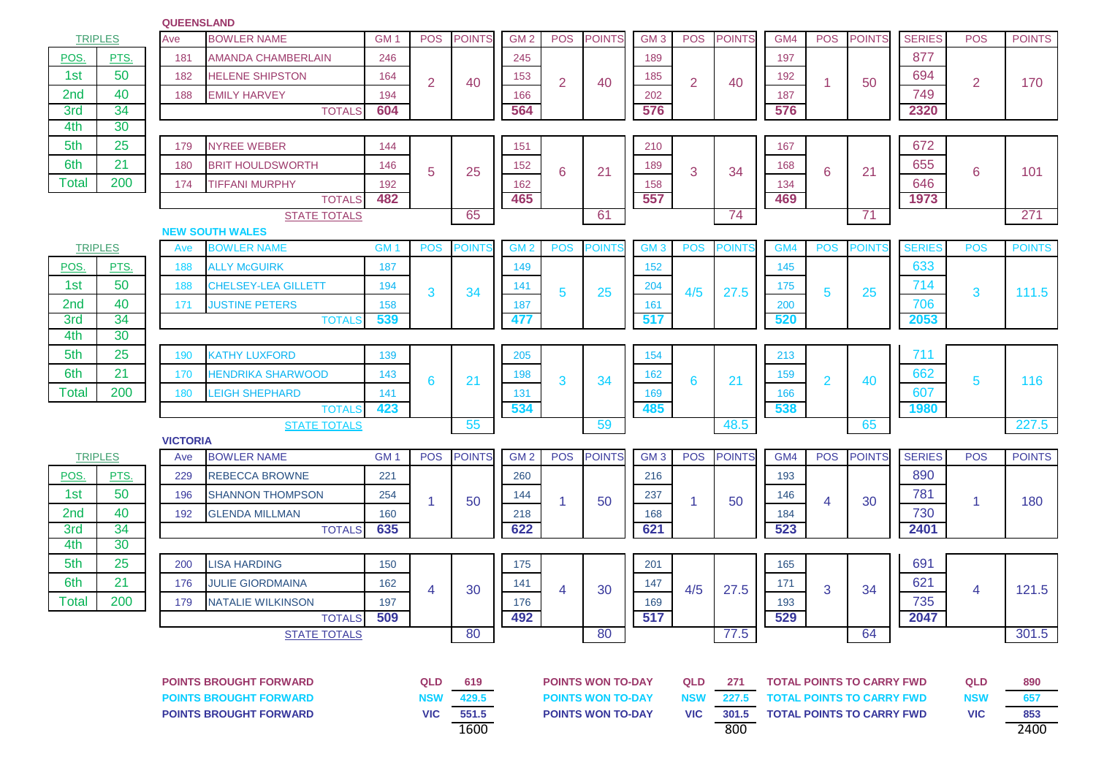## **QUEENSLAND**

|                 | <b>TRIPLES</b> |                 | <b>BOWLER NAME</b>            | GM <sub>1</sub> | <b>POS</b> | <b>POINTS</b> | GM <sub>2</sub> | <b>POS</b>     | <b>POINTS</b>            | GM <sub>3</sub> | <b>POS</b>     | <b>POINTS</b> | GM4 | <b>POS</b>     | <b>POINTS</b>                    | <b>SERIES</b> | <b>POS</b>        | <b>POINTS</b> |
|-----------------|----------------|-----------------|-------------------------------|-----------------|------------|---------------|-----------------|----------------|--------------------------|-----------------|----------------|---------------|-----|----------------|----------------------------------|---------------|-------------------|---------------|
| POS.            | PTS.           | 181             | <b>AMANDA CHAMBERLAIN</b>     | 246             |            |               | 245             |                |                          | 189             |                |               | 197 |                |                                  | 877           |                   |               |
| 1st             | 50             | 182             | <b>HELENE SHIPSTON</b>        | 164             | 2          | 40            | 153             | $\overline{2}$ | 40                       | 185             | $\overline{2}$ | 40            | 192 | 1              | 50                               | 694           | $\overline{2}$    | 170           |
| 2 <sub>nd</sub> | 40             | 188             | <b>EMILY HARVEY</b>           | 194             |            |               | 166             |                |                          | 202             |                |               | 187 |                |                                  | 749           |                   |               |
| 3rd             | 34             |                 | <b>TOTALS</b>                 | 604             |            |               | 564             |                |                          | 576             |                |               | 576 |                |                                  | 2320          |                   |               |
| 4th             | 30             |                 |                               |                 |            |               |                 |                |                          |                 |                |               |     |                |                                  |               |                   |               |
| 5th             | 25             | 179             | <b>NYREE WEBER</b>            | 144             |            |               | 151             |                |                          | 210             |                |               | 167 |                |                                  | 672           |                   |               |
| 6th             | 21             | 180             | <b>BRIT HOULDSWORTH</b>       | 146             | 5          | 25            | 152             | 6              | 21                       | 189             | 3              | 34            | 168 | 6              | 21                               | 655           | 6                 | 101           |
| <b>Total</b>    | 200            | 174             | <b>TIFFANI MURPHY</b>         | 192             |            |               | 162             |                |                          | 158             |                |               | 134 |                |                                  | 646           |                   |               |
|                 |                |                 | <b>TOTALS</b>                 | 482             |            |               | 465             |                |                          | 557             |                |               | 469 |                |                                  | 1973          |                   |               |
|                 |                |                 | <b>STATE TOTALS</b>           |                 |            | 65            |                 |                | 61                       |                 |                | 74            |     |                | 71                               |               |                   | 271           |
|                 |                |                 | <b>NEW SOUTH WALES</b>        |                 |            |               |                 |                |                          |                 |                |               |     |                |                                  |               |                   |               |
|                 | <b>TRIPLES</b> | Ave             | <b>BOWLER NAME</b>            | GM <sub>1</sub> | <b>POS</b> | <b>POINTS</b> | GM <sub>2</sub> | <b>POS</b>     | <b>POINTS</b>            | GM <sub>3</sub> | <b>POS</b>     | POINTS        | GM4 | <b>POS</b>     | <b>POINTS</b>                    | <b>SERIES</b> | <b>POS</b>        | <b>POINTS</b> |
| POS.            | PTS.           | 188             | <b>ALLY McGUIRK</b>           | 187             |            |               | 149             |                |                          | 152             |                |               | 145 |                |                                  | 633           |                   |               |
| 1st             | 50             | 188             | <b>CHELSEY-LEA GILLETT</b>    | 194             | 3          | 34            | 141             | 5              | 25                       | 204             | 4/5            | 27.5          | 175 | 5              | 25                               | 714           | 3                 | 111.5         |
| 2nd             | 40             | 171             | <b>JUSTINE PETERS</b>         | 158             |            |               | 187             |                |                          | 161             |                |               | 200 |                |                                  | 706           |                   |               |
| 3rd             | 34             |                 | <b>TOTALS</b>                 | 539             |            |               | 477             |                |                          | 517             |                |               | 520 |                |                                  | 2053          |                   |               |
| 4th             | 30             |                 |                               |                 |            |               |                 |                |                          |                 |                |               |     |                |                                  |               |                   |               |
| 5th             | 25             | 190             | <b>KATHY LUXFORD</b>          | 139             |            |               | 205             |                |                          | 154             |                |               | 213 |                |                                  | 711           |                   |               |
| 6th             | 21             | 170             | <b>HENDRIKA SHARWOOD</b>      | 143             | 6          | 21            | 198             | 3              | 34                       | 162             | 6              | 21            | 159 | $\overline{2}$ | 40                               | 662           | 5                 | 116           |
| <b>Total</b>    | 200            | 180             | <b>LEIGH SHEPHARD</b>         | 141             |            |               | 131             |                |                          | 169             |                |               | 166 |                |                                  | 607           |                   |               |
|                 |                |                 | <b>TOTALS</b>                 | 423             |            |               | 534             |                |                          | 485             |                |               | 538 |                |                                  | 1980          |                   |               |
|                 |                |                 | <b>STATE TOTALS</b>           |                 |            | 55            |                 |                | 59                       |                 |                | 48.5          |     |                | 65                               |               |                   | 227.5         |
|                 |                | <b>VICTORIA</b> | <b>BOWLER NAME</b>            | GM <sub>1</sub> | <b>POS</b> | <b>POINTS</b> | GM <sub>2</sub> | <b>POS</b>     | <b>POINTS</b>            | GM <sub>3</sub> | <b>POS</b>     | <b>POINTS</b> | GM4 | <b>POS</b>     | <b>POINTS</b>                    | <b>SERIES</b> | <b>POS</b>        | <b>POINTS</b> |
|                 | <b>TRIPLES</b> | Ave             |                               |                 |            |               |                 |                |                          |                 |                |               |     |                |                                  |               |                   |               |
| POS.            | PTS.           | 229             | <b>REBECCA BROWNE</b>         | 221             |            |               | 260             |                |                          | 216             |                |               | 193 |                |                                  | 890           |                   |               |
| 1st             | 50             | 196             | <b>SHANNON THOMPSON</b>       | 254             |            | 50            | 144             | 1              | 50                       | 237             |                | 50            | 146 | 4              | 30                               | 781           | 1                 | 180           |
| 2 <sub>nd</sub> | 40             | 192             | <b>GLENDA MILLMAN</b>         | 160             |            |               | 218             |                |                          | 168             |                |               | 184 |                |                                  | 730           |                   |               |
| 3rd             | 34<br>30       |                 | <b>TOTALS</b>                 | 635             |            |               | 622             |                |                          | 621             |                |               | 523 |                |                                  | 2401          |                   |               |
| 4th             |                |                 |                               |                 |            |               |                 |                |                          |                 |                |               |     |                |                                  |               |                   |               |
| 5th             | 25             | 200             | <b>LISA HARDING</b>           | 150             |            |               | 175             |                |                          | 201             |                |               | 165 |                |                                  | 691           |                   |               |
| 6th             | 21             | 176             | <b>JULIE GIORDMAINA</b>       | 162             | 4          | 30            | 141             | $\overline{4}$ | 30                       | 147             | 4/5            | 27.5          | 171 | 3              | 34                               | 621           | 4                 | 121.5         |
| <b>Total</b>    | 200            | 179             | <b>NATALIE WILKINSON</b>      | 197             |            |               | 176             |                |                          | 169             |                |               | 193 |                |                                  | 735           |                   |               |
|                 |                |                 | <b>TOTALS</b>                 | 509             |            |               | 492             |                |                          | 517             |                |               | 529 |                |                                  | 2047          |                   |               |
|                 |                |                 | <b>STATE TOTALS</b>           |                 |            | 80            |                 |                | 80                       |                 |                | 77.5          |     |                | 64                               |               |                   | 301.5         |
|                 |                |                 |                               |                 |            |               |                 |                |                          |                 |                |               |     |                |                                  |               |                   |               |
|                 |                |                 |                               |                 |            |               |                 |                |                          |                 |                |               |     |                |                                  |               |                   |               |
|                 |                |                 | <b>POINTS BROUGHT FORWARD</b> |                 | QLD        |               |                 |                | <b>POINTS WON TO-DAY</b> |                 | <b>QLD</b>     |               |     |                | <b>TOTAL POINTS TO CARRY FWD</b> |               |                   |               |
|                 |                |                 | <b>POINTS BROUGHT FORWARD</b> |                 | <b>NSW</b> | 619<br>429.5  |                 |                | <b>POINTS WON TO-DAY</b> |                 | <b>NSW</b>     | 271<br>227.5  |     |                | <b>TOTAL POINTS TO CARRY FWD</b> |               | QLD<br><b>NSW</b> | 890<br>657    |
|                 |                |                 | <b>POINTS BROUGHT FORWARD</b> |                 | <b>VIC</b> | 551.5         |                 |                | <b>POINTS WON TO-DAY</b> |                 | <b>VIC</b>     | 301.5         |     |                | <b>TOTAL POINTS TO CARRY FWD</b> |               | <b>VIC</b>        | 853           |